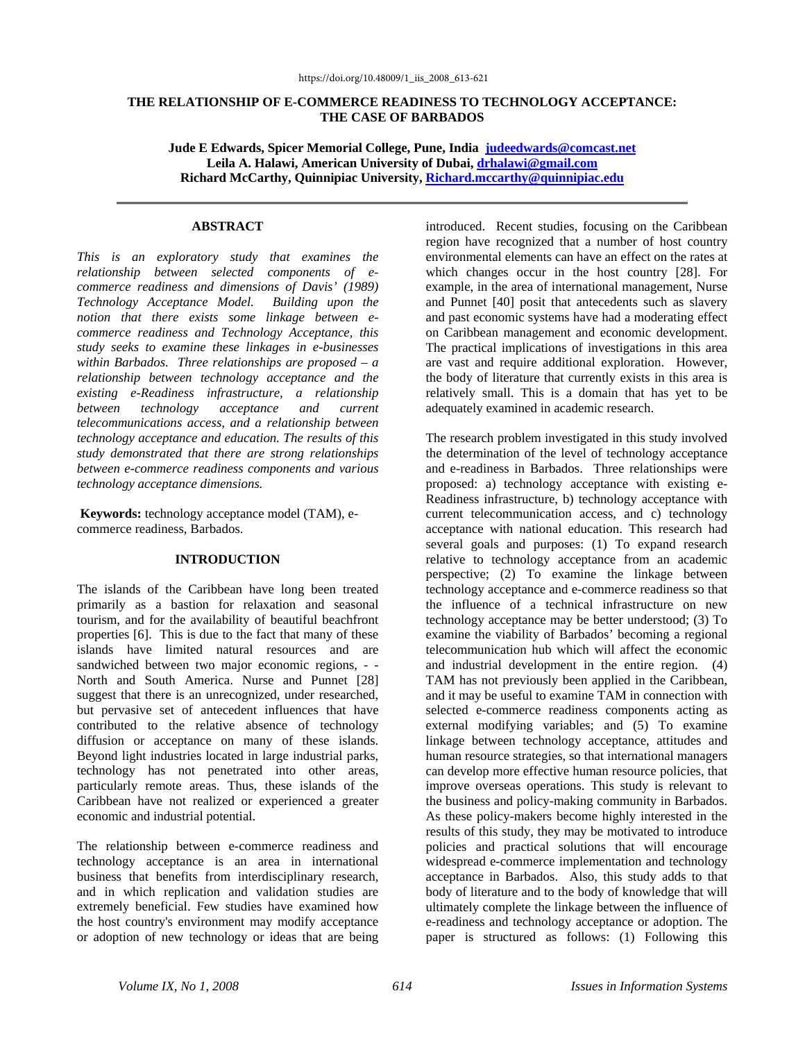## **THE RELATIONSHIP OF E-COMMERCE READINESS TO TECHNOLOGY ACCEPTANCE: THE CASE OF BARBADOS**

**Jude E Edwards, Spicer Memorial College, Pune, India judeedwards@comcast.net Leila A. Halawi, American University of Dubai, drhalawi@gmail.com Richard McCarthy, Quinnipiac University, Richard.mccarthy@quinnipiac.edu**

## **ABSTRACT**

*This is an exploratory study that examines the relationship between selected components of ecommerce readiness and dimensions of Davis' (1989) Technology Acceptance Model. Building upon the notion that there exists some linkage between ecommerce readiness and Technology Acceptance, this study seeks to examine these linkages in e-businesses within Barbados. Three relationships are proposed – a relationship between technology acceptance and the existing e-Readiness infrastructure, a relationship between technology acceptance and current telecommunications access, and a relationship between technology acceptance and education. The results of this study demonstrated that there are strong relationships between e-commerce readiness components and various technology acceptance dimensions.* 

**Keywords:** technology acceptance model (TAM), ecommerce readiness, Barbados.

#### **INTRODUCTION**

The islands of the Caribbean have long been treated primarily as a bastion for relaxation and seasonal tourism, and for the availability of beautiful beachfront properties [6]. This is due to the fact that many of these islands have limited natural resources and are sandwiched between two major economic regions, - - North and South America. Nurse and Punnet [28] suggest that there is an unrecognized, under researched, but pervasive set of antecedent influences that have contributed to the relative absence of technology diffusion or acceptance on many of these islands. Beyond light industries located in large industrial parks, technology has not penetrated into other areas, particularly remote areas. Thus, these islands of the Caribbean have not realized or experienced a greater economic and industrial potential.

The relationship between e-commerce readiness and technology acceptance is an area in international business that benefits from interdisciplinary research, and in which replication and validation studies are extremely beneficial. Few studies have examined how the host country's environment may modify acceptance or adoption of new technology or ideas that are being

introduced. Recent studies, focusing on the Caribbean region have recognized that a number of host country environmental elements can have an effect on the rates at which changes occur in the host country [28]. For example, in the area of international management, Nurse and Punnet [40] posit that antecedents such as slavery and past economic systems have had a moderating effect on Caribbean management and economic development. The practical implications of investigations in this area are vast and require additional exploration. However, the body of literature that currently exists in this area is relatively small. This is a domain that has yet to be adequately examined in academic research.

The research problem investigated in this study involved the determination of the level of technology acceptance and e-readiness in Barbados. Three relationships were proposed: a) technology acceptance with existing e-Readiness infrastructure, b) technology acceptance with current telecommunication access, and c) technology acceptance with national education. This research had several goals and purposes: (1) To expand research relative to technology acceptance from an academic perspective; (2) To examine the linkage between technology acceptance and e-commerce readiness so that the influence of a technical infrastructure on new technology acceptance may be better understood; (3) To examine the viability of Barbados' becoming a regional telecommunication hub which will affect the economic and industrial development in the entire region. (4) TAM has not previously been applied in the Caribbean, and it may be useful to examine TAM in connection with selected e-commerce readiness components acting as external modifying variables; and (5) To examine linkage between technology acceptance, attitudes and human resource strategies, so that international managers can develop more effective human resource policies, that improve overseas operations. This study is relevant to the business and policy-making community in Barbados. As these policy-makers become highly interested in the results of this study, they may be motivated to introduce policies and practical solutions that will encourage widespread e-commerce implementation and technology acceptance in Barbados. Also, this study adds to that body of literature and to the body of knowledge that will ultimately complete the linkage between the influence of e-readiness and technology acceptance or adoption. The paper is structured as follows: (1) Following this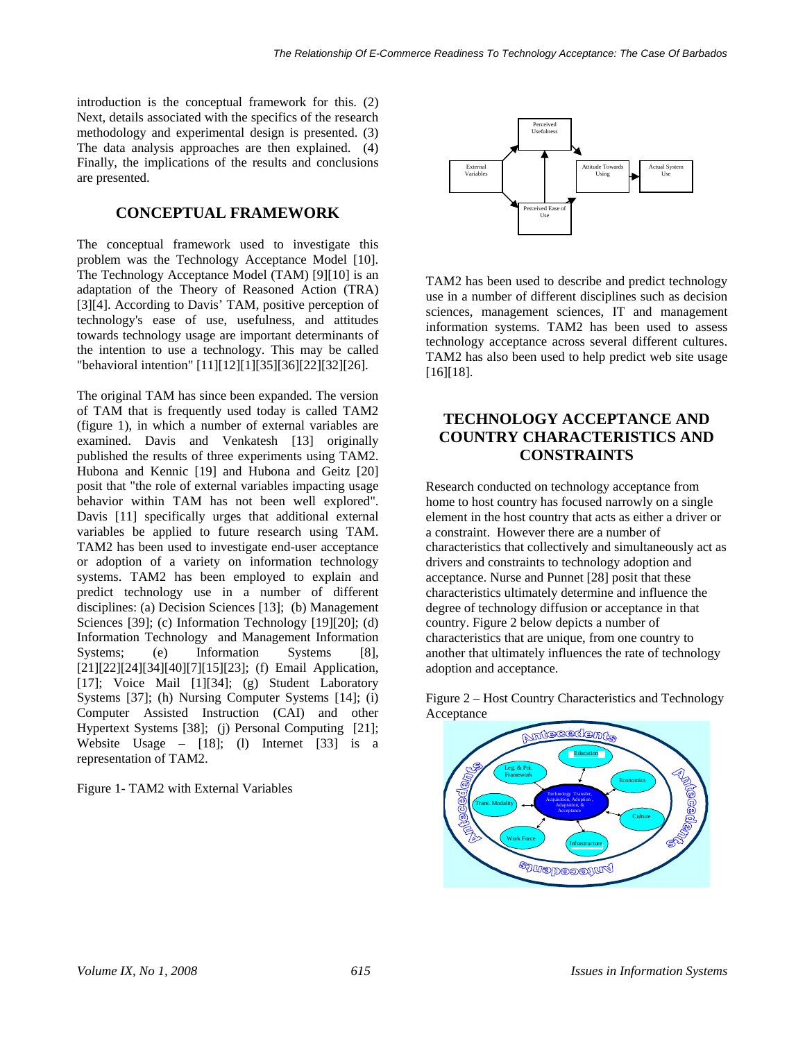introduction is the conceptual framework for this. (2) Next, details associated with the specifics of the research methodology and experimental design is presented. (3) The data analysis approaches are then explained. (4) Finally, the implications of the results and conclusions are presented.

# **CONCEPTUAL FRAMEWORK**

The conceptual framework used to investigate this problem was the Technology Acceptance Model [10]. The Technology Acceptance Model (TAM) [9][10] is an adaptation of the Theory of Reasoned Action (TRA) [3][4]. According to Davis' TAM, positive perception of technology's ease of use, usefulness, and attitudes towards technology usage are important determinants of the intention to use a technology. This may be called "behavioral intention" [11][12][1][35][36][22][32][26].

The original TAM has since been expanded. The version of TAM that is frequently used today is called TAM2 (figure 1), in which a number of external variables are examined. Davis and Venkatesh [13] originally published the results of three experiments using TAM2. Hubona and Kennic [19] and Hubona and Geitz [20] posit that "the role of external variables impacting usage behavior within TAM has not been well explored". Davis [11] specifically urges that additional external variables be applied to future research using TAM. TAM2 has been used to investigate end-user acceptance or adoption of a variety on information technology systems. TAM2 has been employed to explain and predict technology use in a number of different disciplines: (a) Decision Sciences [13]; (b) Management Sciences [39]; (c) Information Technology [19][20]; (d) Information Technology and Management Information Systems; (e) Information Systems [8], [21][22][24][34][40][7][15][23]; (f) Email Application, [17]; Voice Mail [1][34]; (g) Student Laboratory Systems [37]; (h) Nursing Computer Systems [14]; (i) Computer Assisted Instruction (CAI) and other Hypertext Systems [38]; (j) Personal Computing [21]; Website Usage – [18]; (l) Internet [33] is a representation of TAM2.

Figure 1- TAM2 with External Variables



TAM2 has been used to describe and predict technology use in a number of different disciplines such as decision sciences, management sciences, IT and management information systems. TAM2 has been used to assess technology acceptance across several different cultures. TAM2 has also been used to help predict web site usage [16][18].

# **TECHNOLOGY ACCEPTANCE AND COUNTRY CHARACTERISTICS AND CONSTRAINTS**

Research conducted on technology acceptance from home to host country has focused narrowly on a single element in the host country that acts as either a driver or a constraint. However there are a number of characteristics that collectively and simultaneously act as drivers and constraints to technology adoption and acceptance. Nurse and Punnet [28] posit that these characteristics ultimately determine and influence the degree of technology diffusion or acceptance in that country. Figure 2 below depicts a number of characteristics that are unique, from one country to another that ultimately influences the rate of technology adoption and acceptance.



Figure 2 – Host Country Characteristics and Technology Acceptance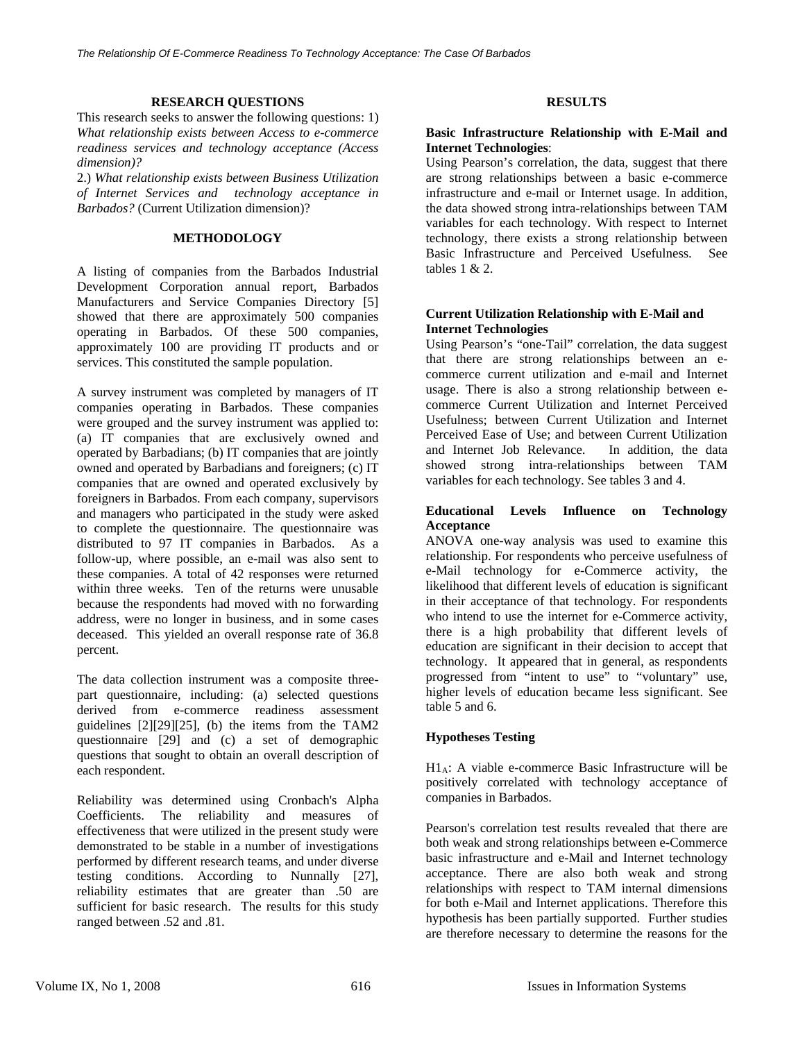#### **RESEARCH QUESTIONS**

This research seeks to answer the following questions: 1) *What relationship exists between Access to e-commerce readiness services and technology acceptance (Access dimension)?*

2.) *What relationship exists between Business Utilization of Internet Services and technology acceptance in Barbados?* (Current Utilization dimension)?

## **METHODOLOGY**

A listing of companies from the Barbados Industrial Development Corporation annual report, Barbados Manufacturers and Service Companies Directory [5] showed that there are approximately 500 companies operating in Barbados. Of these 500 companies, approximately 100 are providing IT products and or services. This constituted the sample population.

A survey instrument was completed by managers of IT companies operating in Barbados. These companies were grouped and the survey instrument was applied to: (a) IT companies that are exclusively owned and operated by Barbadians; (b) IT companies that are jointly owned and operated by Barbadians and foreigners; (c) IT companies that are owned and operated exclusively by foreigners in Barbados. From each company, supervisors and managers who participated in the study were asked to complete the questionnaire. The questionnaire was distributed to 97 IT companies in Barbados. As a follow-up, where possible, an e-mail was also sent to these companies. A total of 42 responses were returned within three weeks. Ten of the returns were unusable because the respondents had moved with no forwarding address, were no longer in business, and in some cases deceased. This yielded an overall response rate of 36.8 percent.

The data collection instrument was a composite threepart questionnaire, including: (a) selected questions derived from e-commerce readiness assessment guidelines [2][29][25], (b) the items from the TAM2 questionnaire [29] and (c) a set of demographic questions that sought to obtain an overall description of each respondent.

Reliability was determined using Cronbach's Alpha Coefficients. The reliability and measures of effectiveness that were utilized in the present study were demonstrated to be stable in a number of investigations performed by different research teams, and under diverse testing conditions. According to Nunnally [27], reliability estimates that are greater than .50 are sufficient for basic research. The results for this study ranged between .52 and .81.

## **RESULTS**

### **Basic Infrastructure Relationship with E-Mail and Internet Technologies**:

Using Pearson's correlation, the data, suggest that there are strong relationships between a basic e-commerce infrastructure and e-mail or Internet usage. In addition, the data showed strong intra-relationships between TAM variables for each technology. With respect to Internet technology, there exists a strong relationship between Basic Infrastructure and Perceived Usefulness. See tables 1 & 2.

#### **Current Utilization Relationship with E-Mail and Internet Technologies**

Using Pearson's "one-Tail" correlation, the data suggest that there are strong relationships between an ecommerce current utilization and e-mail and Internet usage. There is also a strong relationship between ecommerce Current Utilization and Internet Perceived Usefulness; between Current Utilization and Internet Perceived Ease of Use; and between Current Utilization and Internet Job Relevance. In addition, the data showed strong intra-relationships between TAM variables for each technology. See tables 3 and 4.

## **Educational Levels Influence on Technology Acceptance**

ANOVA one-way analysis was used to examine this relationship. For respondents who perceive usefulness of e-Mail technology for e-Commerce activity, the likelihood that different levels of education is significant in their acceptance of that technology. For respondents who intend to use the internet for e-Commerce activity, there is a high probability that different levels of education are significant in their decision to accept that technology. It appeared that in general, as respondents progressed from "intent to use" to "voluntary" use, higher levels of education became less significant. See table 5 and 6.

## **Hypotheses Testing**

H1A: A viable e-commerce Basic Infrastructure will be positively correlated with technology acceptance of companies in Barbados.

Pearson's correlation test results revealed that there are both weak and strong relationships between e-Commerce basic infrastructure and e-Mail and Internet technology acceptance. There are also both weak and strong relationships with respect to TAM internal dimensions for both e-Mail and Internet applications. Therefore this hypothesis has been partially supported. Further studies are therefore necessary to determine the reasons for the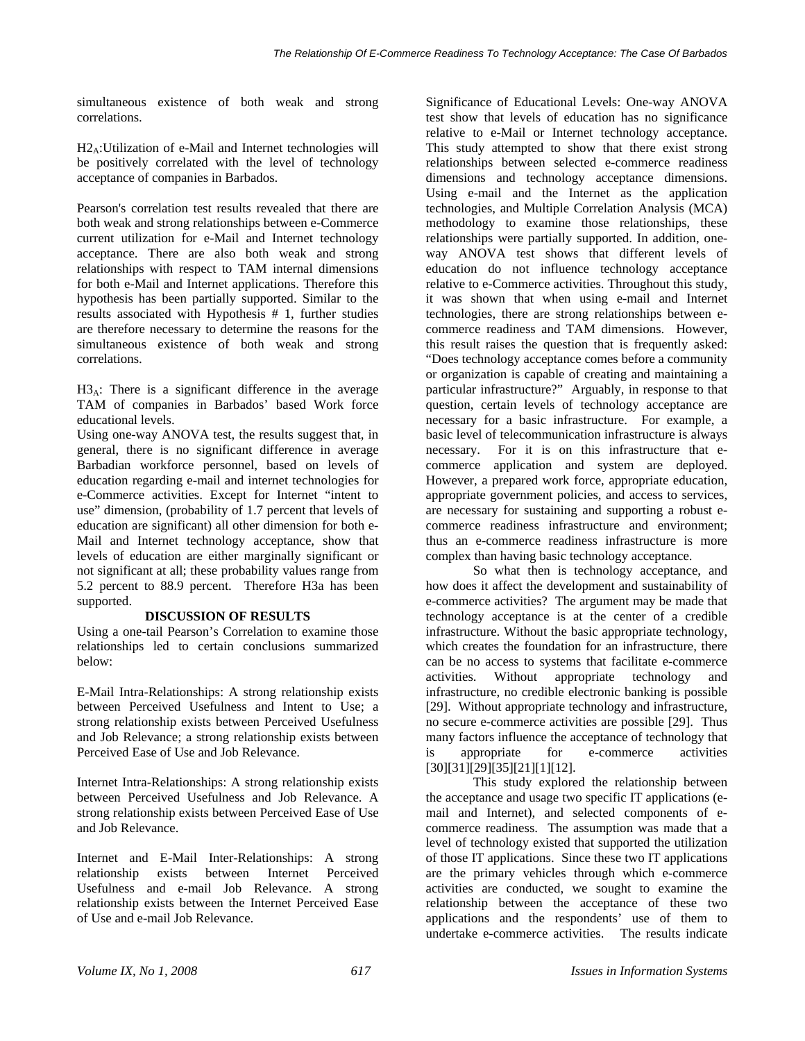simultaneous existence of both weak and strong correlations.

H2A:Utilization of e-Mail and Internet technologies will be positively correlated with the level of technology acceptance of companies in Barbados.

Pearson's correlation test results revealed that there are both weak and strong relationships between e-Commerce current utilization for e-Mail and Internet technology acceptance. There are also both weak and strong relationships with respect to TAM internal dimensions for both e-Mail and Internet applications. Therefore this hypothesis has been partially supported. Similar to the results associated with Hypothesis # 1, further studies are therefore necessary to determine the reasons for the simultaneous existence of both weak and strong correlations.

 $H3_A$ : There is a significant difference in the average TAM of companies in Barbados' based Work force educational levels.

Using one-way ANOVA test, the results suggest that, in general, there is no significant difference in average Barbadian workforce personnel, based on levels of education regarding e-mail and internet technologies for e-Commerce activities. Except for Internet "intent to use" dimension, (probability of 1.7 percent that levels of education are significant) all other dimension for both e-Mail and Internet technology acceptance, show that levels of education are either marginally significant or not significant at all; these probability values range from 5.2 percent to 88.9 percent. Therefore H3a has been supported.

## **DISCUSSION OF RESULTS**

Using a one-tail Pearson's Correlation to examine those relationships led to certain conclusions summarized below:

E-Mail Intra-Relationships: A strong relationship exists between Perceived Usefulness and Intent to Use; a strong relationship exists between Perceived Usefulness and Job Relevance; a strong relationship exists between Perceived Ease of Use and Job Relevance.

Internet Intra-Relationships: A strong relationship exists between Perceived Usefulness and Job Relevance. A strong relationship exists between Perceived Ease of Use and Job Relevance.

Internet and E-Mail Inter-Relationships: A strong relationship exists between Internet Perceived Usefulness and e-mail Job Relevance. A strong relationship exists between the Internet Perceived Ease of Use and e-mail Job Relevance.

Significance of Educational Levels: One-way ANOVA test show that levels of education has no significance relative to e-Mail or Internet technology acceptance. This study attempted to show that there exist strong relationships between selected e-commerce readiness dimensions and technology acceptance dimensions. Using e-mail and the Internet as the application technologies, and Multiple Correlation Analysis (MCA) methodology to examine those relationships, these relationships were partially supported. In addition, oneway ANOVA test shows that different levels of education do not influence technology acceptance relative to e-Commerce activities. Throughout this study, it was shown that when using e-mail and Internet technologies, there are strong relationships between ecommerce readiness and TAM dimensions. However, this result raises the question that is frequently asked: "Does technology acceptance comes before a community or organization is capable of creating and maintaining a particular infrastructure?" Arguably, in response to that question, certain levels of technology acceptance are necessary for a basic infrastructure. For example, a basic level of telecommunication infrastructure is always necessary. For it is on this infrastructure that ecommerce application and system are deployed. However, a prepared work force, appropriate education, appropriate government policies, and access to services, are necessary for sustaining and supporting a robust ecommerce readiness infrastructure and environment; thus an e-commerce readiness infrastructure is more complex than having basic technology acceptance.

So what then is technology acceptance, and how does it affect the development and sustainability of e-commerce activities? The argument may be made that technology acceptance is at the center of a credible infrastructure. Without the basic appropriate technology, which creates the foundation for an infrastructure, there can be no access to systems that facilitate e-commerce activities. Without appropriate technology and infrastructure, no credible electronic banking is possible [29]. Without appropriate technology and infrastructure, no secure e-commerce activities are possible [29]. Thus many factors influence the acceptance of technology that is appropriate for e-commerce activities [30][31][29][35][21][1][12].

This study explored the relationship between the acceptance and usage two specific IT applications (email and Internet), and selected components of ecommerce readiness. The assumption was made that a level of technology existed that supported the utilization of those IT applications. Since these two IT applications are the primary vehicles through which e-commerce activities are conducted, we sought to examine the relationship between the acceptance of these two applications and the respondents' use of them to undertake e-commerce activities. The results indicate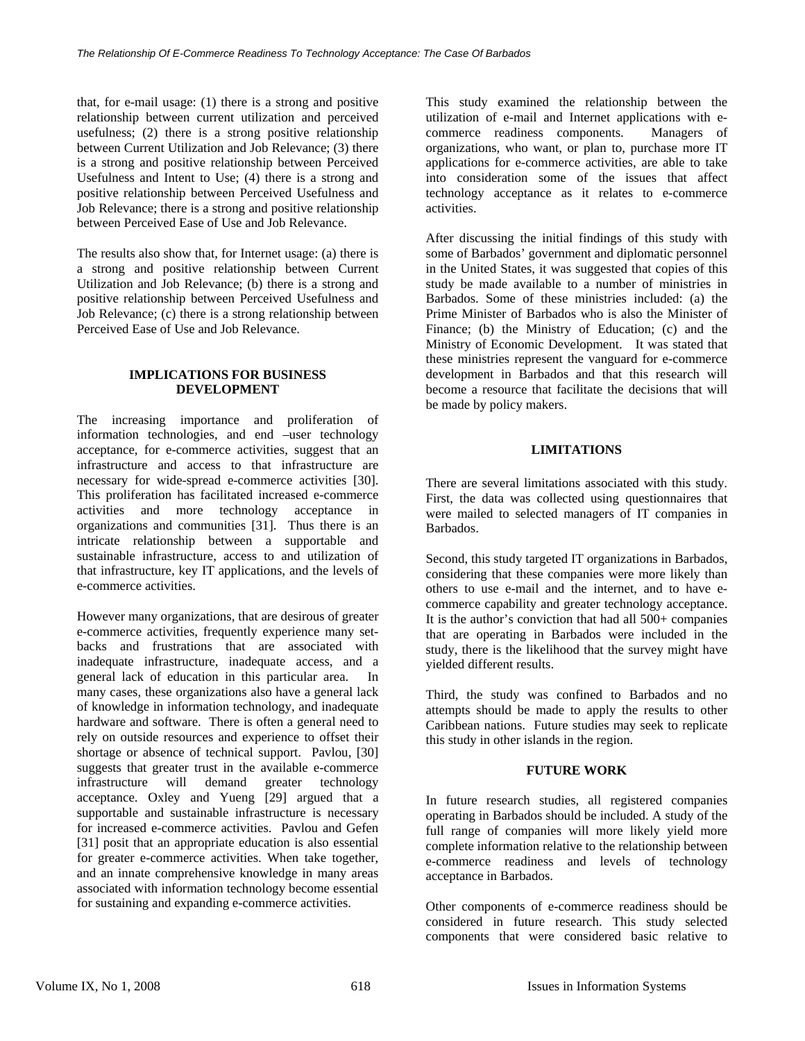that, for e-mail usage: (1) there is a strong and positive relationship between current utilization and perceived usefulness; (2) there is a strong positive relationship between Current Utilization and Job Relevance; (3) there is a strong and positive relationship between Perceived Usefulness and Intent to Use; (4) there is a strong and positive relationship between Perceived Usefulness and Job Relevance; there is a strong and positive relationship between Perceived Ease of Use and Job Relevance.

The results also show that, for Internet usage: (a) there is a strong and positive relationship between Current Utilization and Job Relevance; (b) there is a strong and positive relationship between Perceived Usefulness and Job Relevance; (c) there is a strong relationship between Perceived Ease of Use and Job Relevance.

## **IMPLICATIONS FOR BUSINESS DEVELOPMENT**

The increasing importance and proliferation of information technologies, and end –user technology acceptance, for e-commerce activities, suggest that an infrastructure and access to that infrastructure are necessary for wide-spread e-commerce activities [30]. This proliferation has facilitated increased e-commerce activities and more technology acceptance in organizations and communities [31]. Thus there is an intricate relationship between a supportable and sustainable infrastructure, access to and utilization of that infrastructure, key IT applications, and the levels of e-commerce activities.

However many organizations, that are desirous of greater e-commerce activities, frequently experience many setbacks and frustrations that are associated with inadequate infrastructure, inadequate access, and a general lack of education in this particular area. In many cases, these organizations also have a general lack of knowledge in information technology, and inadequate hardware and software. There is often a general need to rely on outside resources and experience to offset their shortage or absence of technical support. Pavlou, [30] suggests that greater trust in the available e-commerce infrastructure will demand greater technology acceptance. Oxley and Yueng [29] argued that a supportable and sustainable infrastructure is necessary for increased e-commerce activities. Pavlou and Gefen [31] posit that an appropriate education is also essential for greater e-commerce activities. When take together, and an innate comprehensive knowledge in many areas associated with information technology become essential for sustaining and expanding e-commerce activities.

This study examined the relationship between the utilization of e-mail and Internet applications with ecommerce readiness components. Managers of organizations, who want, or plan to, purchase more IT applications for e-commerce activities, are able to take into consideration some of the issues that affect technology acceptance as it relates to e-commerce activities.

After discussing the initial findings of this study with some of Barbados' government and diplomatic personnel in the United States, it was suggested that copies of this study be made available to a number of ministries in Barbados. Some of these ministries included: (a) the Prime Minister of Barbados who is also the Minister of Finance; (b) the Ministry of Education; (c) and the Ministry of Economic Development. It was stated that these ministries represent the vanguard for e-commerce development in Barbados and that this research will become a resource that facilitate the decisions that will be made by policy makers.

# **LIMITATIONS**

There are several limitations associated with this study. First, the data was collected using questionnaires that were mailed to selected managers of IT companies in Barbados.

Second, this study targeted IT organizations in Barbados, considering that these companies were more likely than others to use e-mail and the internet, and to have ecommerce capability and greater technology acceptance. It is the author's conviction that had all 500+ companies that are operating in Barbados were included in the study, there is the likelihood that the survey might have yielded different results.

Third, the study was confined to Barbados and no attempts should be made to apply the results to other Caribbean nations. Future studies may seek to replicate this study in other islands in the region.

## **FUTURE WORK**

In future research studies, all registered companies operating in Barbados should be included. A study of the full range of companies will more likely yield more complete information relative to the relationship between e-commerce readiness and levels of technology acceptance in Barbados.

Other components of e-commerce readiness should be considered in future research. This study selected components that were considered basic relative to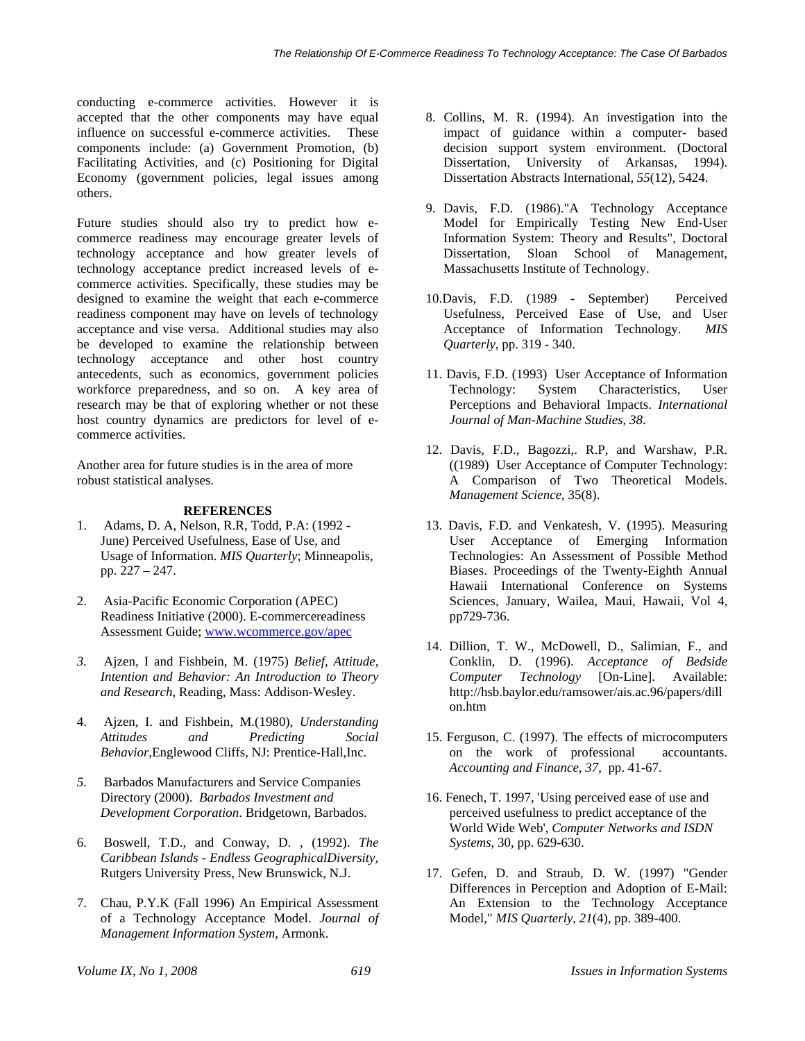conducting e-commerce activities. However it is accepted that the other components may have equal influence on successful e-commerce activities. These components include: (a) Government Promotion, (b) Facilitating Activities, and (c) Positioning for Digital Economy (government policies, legal issues among others.

Future studies should also try to predict how ecommerce readiness may encourage greater levels of technology acceptance and how greater levels of technology acceptance predict increased levels of ecommerce activities. Specifically, these studies may be designed to examine the weight that each e-commerce readiness component may have on levels of technology acceptance and vise versa. Additional studies may also be developed to examine the relationship between technology acceptance and other host country antecedents, such as economics, government policies workforce preparedness, and so on. A key area of research may be that of exploring whether or not these host country dynamics are predictors for level of ecommerce activities.

Another area for future studies is in the area of more robust statistical analyses.

## **REFERENCES**

- 1. Adams, D. A, Nelson, R.R, Todd, P.A: (1992 June) Perceived Usefulness, Ease of Use, and Usage of Information. *MIS Quarterly*; Minneapolis, pp. 227 – 247.
- 2. Asia-Pacific Economic Corporation (APEC) Readiness Initiative (2000). E-commercereadiness Assessment Guide; www.wcommerce.gov/apec
- *3.* Ajzen, I and Fishbein, M. (1975) *Belief, Attitude, Intention and Behavior: An Introduction to Theory and Research*, Reading, Mass: Addison-Wesley.
- 4. Ajzen, I. and Fishbein, M.(1980), *Understanding Attitudes and Predicting Social Behavior*,Englewood Cliffs, NJ: Prentice-Hall,Inc.
- *5.* Barbados Manufacturers and Service Companies Directory (2000). *Barbados Investment and Development Corporation*. Bridgetown, Barbados.
- 6. Boswell, T.D., and Conway, D. , (1992). *The Caribbean Islands - Endless GeographicalDiversity,* Rutgers University Press, New Brunswick, N.J.
- 7. Chau, P.Y.K (Fall 1996) An Empirical Assessment of a Technology Acceptance Model. *Journal of Management Information System*, Armonk.
- 8. Collins, M. R. (1994). An investigation into the impact of guidance within a computer- based decision support system environment. (Doctoral Dissertation, University of Arkansas, 1994). Dissertation Abstracts International, *55*(12), 5424.
- 9. Davis, F.D. (1986)."A Technology Acceptance Model for Empirically Testing New End-User Information System: Theory and Results", Doctoral Dissertation, Sloan School of Management, Massachusetts Institute of Technology.
- 10.Davis, F.D. (1989 September) Perceived Usefulness, Perceived Ease of Use, and User Acceptance of Information Technology. *MIS Quarterly*, pp. 319 - 340.
- 11. Davis, F.D. (1993) User Acceptance of Information Technology: System Characteristics, User Perceptions and Behavioral Impacts. *International Journal of Man-Machine Studies, 38*.
- 12. Davis, F.D., Bagozzi,. R.P, and Warshaw, P.R. ((1989) User Acceptance of Computer Technology: A Comparison of Two Theoretical Models. *Management Science*, 35(8).
- 13. Davis, F.D. and Venkatesh, V. (1995). Measuring User Acceptance of Emerging Information Technologies: An Assessment of Possible Method Biases. Proceedings of the Twenty-Eighth Annual Hawaii International Conference on Systems Sciences, January, Wailea, Maui, Hawaii, Vol 4, pp729-736.
- 14. Dillion, T. W., McDowell, D., Salimian, F., and Conklin, D. (1996). *Acceptance of Bedside Computer Technology* [On-Line]. Available: http://hsb.baylor.edu/ramsower/ais.ac.96/papers/dill on.htm
- 15. Ferguson, C. (1997). The effects of microcomputers on the work of professional accountants. *Accounting and Finance*, *37*, pp. 41-67.
- 16. Fenech, T. 1997, 'Using perceived ease of use and perceived usefulness to predict acceptance of the World Wide Web', *Computer Networks and ISDN Systems*, 30, pp. 629-630.
- 17. Gefen, D. and Straub, D. W. (1997) "Gender Differences in Perception and Adoption of E-Mail: An Extension to the Technology Acceptance Model," *MIS Quarterly*, *21*(4), pp. 389-400.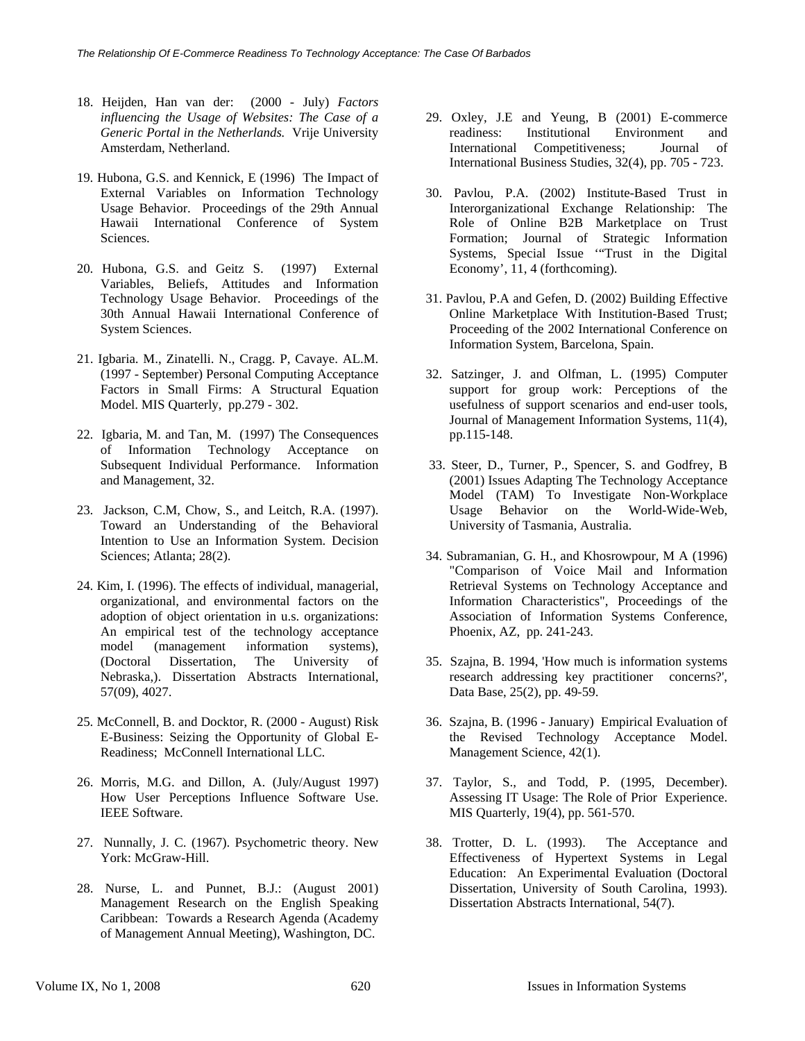- 18. Heijden, Han van der: (2000 July) *Factors influencing the Usage of Websites: The Case of a Generic Portal in the Netherlands.* Vrije University Amsterdam, Netherland.
- 19. Hubona, G.S. and Kennick, E (1996) The Impact of External Variables on Information Technology Usage Behavior. Proceedings of the 29th Annual Hawaii International Conference of System Sciences.
- 20. Hubona, G.S. and Geitz S. (1997) External Variables, Beliefs, Attitudes and Information Technology Usage Behavior. Proceedings of the 30th Annual Hawaii International Conference of System Sciences.
- 21. Igbaria. M., Zinatelli. N., Cragg. P, Cavaye. AL.M. (1997 - September) Personal Computing Acceptance Factors in Small Firms: A Structural Equation Model. MIS Quarterly, pp.279 - 302.
- 22. Igbaria, M. and Tan, M. (1997) The Consequences of Information Technology Acceptance on Subsequent Individual Performance. Information and Management, 32.
- 23. Jackson, C.M, Chow, S., and Leitch, R.A. (1997). Toward an Understanding of the Behavioral Intention to Use an Information System. Decision Sciences; Atlanta; 28(2).
- 24. Kim, I. (1996). The effects of individual, managerial, organizational, and environmental factors on the adoption of object orientation in u.s. organizations: An empirical test of the technology acceptance model (management information systems), (Doctoral Dissertation, The University of Nebraska,). Dissertation Abstracts International, 57(09), 4027.
- 25. McConnell, B. and Docktor, R. (2000 August) Risk E-Business: Seizing the Opportunity of Global E-Readiness; McConnell International LLC.
- 26. Morris, M.G. and Dillon, A. (July/August 1997) How User Perceptions Influence Software Use. IEEE Software.
- 27. Nunnally, J. C. (1967). Psychometric theory. New York: McGraw-Hill.
- 28. Nurse, L. and Punnet, B.J.: (August 2001) Management Research on the English Speaking Caribbean: Towards a Research Agenda (Academy of Management Annual Meeting), Washington, DC.
- 29. Oxley, J.E and Yeung, B (2001) E-commerce readiness: Institutional Environment and International Competitiveness; Journal of International Business Studies, 32(4), pp. 705 - 723.
- 30. Pavlou, P.A. (2002) Institute-Based Trust in Interorganizational Exchange Relationship: The Role of Online B2B Marketplace on Trust Formation; Journal of Strategic Information Systems, Special Issue '"Trust in the Digital Economy', 11, 4 (forthcoming).
- 31. Pavlou, P.A and Gefen, D. (2002) Building Effective Online Marketplace With Institution-Based Trust; Proceeding of the 2002 International Conference on Information System, Barcelona, Spain.
- 32. Satzinger, J. and Olfman, L. (1995) Computer support for group work: Perceptions of the usefulness of support scenarios and end-user tools, Journal of Management Information Systems, 11(4), pp.115-148.
- 33. Steer, D., Turner, P., Spencer, S. and Godfrey, B (2001) Issues Adapting The Technology Acceptance Model (TAM) To Investigate Non-Workplace Usage Behavior on the World-Wide-Web, University of Tasmania, Australia.
- 34. Subramanian, G. H., and Khosrowpour, M A (1996) "Comparison of Voice Mail and Information Retrieval Systems on Technology Acceptance and Information Characteristics", Proceedings of the Association of Information Systems Conference, Phoenix, AZ, pp. 241-243.
- 35. Szajna, B. 1994, 'How much is information systems research addressing key practitioner concerns?', Data Base, 25(2), pp. 49-59.
- 36. Szajna, B. (1996 January) Empirical Evaluation of the Revised Technology Acceptance Model. Management Science, 42(1).
- 37. Taylor, S., and Todd, P. (1995, December). Assessing IT Usage: The Role of Prior Experience. MIS Quarterly, 19(4), pp. 561-570.
- 38. Trotter, D. L. (1993). The Acceptance and Effectiveness of Hypertext Systems in Legal Education: An Experimental Evaluation (Doctoral Dissertation, University of South Carolina, 1993). Dissertation Abstracts International, 54(7).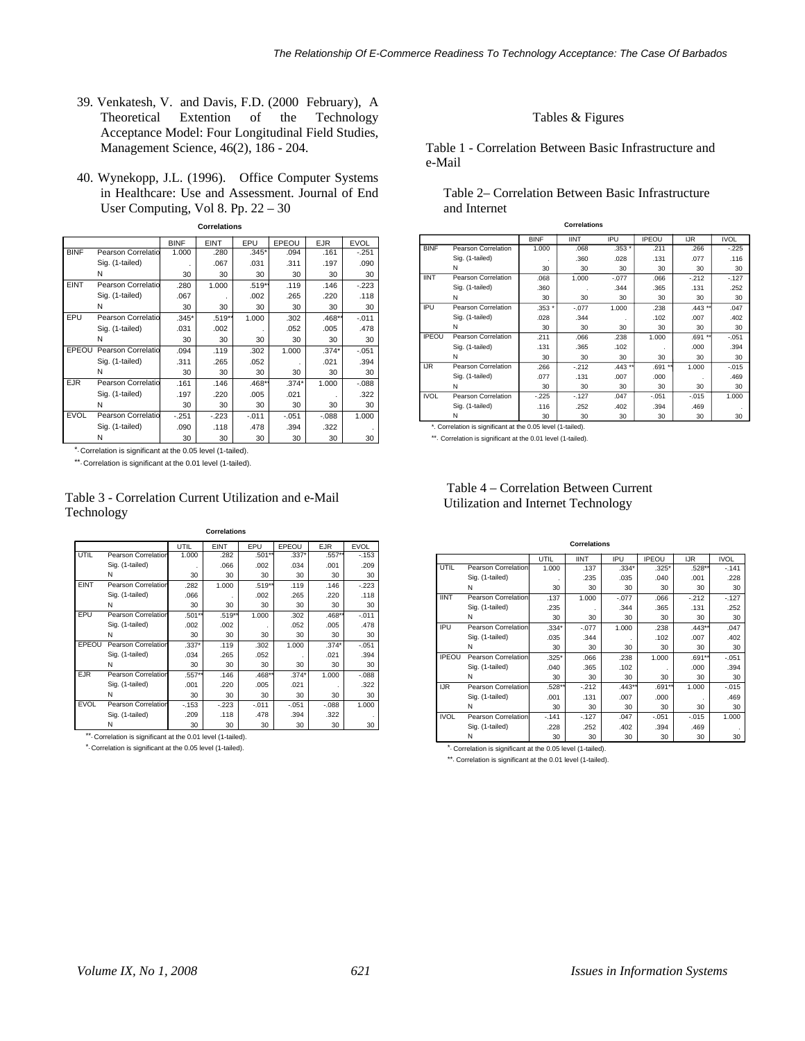- 39. Venkatesh, V. and Davis, F.D. (2000 February), A Theoretical Extention of the Technology Acceptance Model: Four Longitudinal Field Studies, Management Science, 46(2), 186 - 204.
- 40. Wynekopp, J.L. (1996). Office Computer Systems in Healthcare: Use and Assessment. Journal of End User Computing, Vol 8. Pp. 22 – 30

| <b>Correlations</b> |                    |             |             |         |         |            |             |  |
|---------------------|--------------------|-------------|-------------|---------|---------|------------|-------------|--|
|                     |                    | <b>BINF</b> | <b>EINT</b> | EPU     | EPEOU   | <b>EJR</b> | <b>EVOL</b> |  |
| <b>BINF</b>         | Pearson Correlatio | 1.000       | .280        | $.345*$ | .094    | .161       | $-.251$     |  |
|                     | Sig. (1-tailed)    |             | .067        | .031    | .311    | .197       | .090        |  |
|                     | Ν                  | 30          | 30          | 30      | 30      | 30         | 30          |  |
| <b>EINT</b>         | Pearson Correlatio | .280        | 1.000       | .519**  | .119    | .146       | $-223$      |  |
|                     | Sig. (1-tailed)    | .067        |             | .002    | .265    | .220       | .118        |  |
|                     | Ν                  | 30          | 30          | 30      | 30      | 30         | 30          |  |
| EPU                 | Pearson Correlatio | $.345*$     | $.519**$    | 1.000   | .302    | .468*      | $-0.011$    |  |
|                     | Sig. (1-tailed)    | .031        | .002        |         | .052    | .005       | .478        |  |
|                     | Ν                  | 30          | 30          | 30      | 30      | 30         | 30          |  |
| EPEOU               | Pearson Correlatio | .094        | .119        | .302    | 1.000   | $.374*$    | $-.051$     |  |
|                     | Sig. (1-tailed)    | .311        | .265        | .052    |         | .021       | .394        |  |
|                     | N                  | 30          | 30          | 30      | 30      | 30         | 30          |  |
| <b>EJR</b>          | Pearson Correlatio | .161        | .146        | $.468*$ | $.374*$ | 1.000      | $-0.088$    |  |
|                     | Sig. (1-tailed)    | .197        | .220        | .005    | .021    |            | .322        |  |
|                     | Ν                  | 30          | 30          | 30      | 30      | 30         | 30          |  |
| <b>EVOL</b>         | Pearson Correlatio | $-251$      | $-223$      | $-.011$ | $-.051$ | $-0.088$   | 1.000       |  |
|                     | Sig. (1-tailed)    | .090        | .118        | .478    | .394    | .322       |             |  |
|                     | N                  | 30          | 30          | 30      | 30      | 30         | 30          |  |

\*. Correlation is significant at the 0.05 level (1-tailed).

\*\*. Correlation is significant at the 0.01 level (1-tailed).

| Table 3 - Correlation Current Utilization and e-Mail |
|------------------------------------------------------|
| Technology                                           |

**Correlations**

|             |                            | UTIL    | <b>EINT</b> | EPU     | EPEOU   | <b>EJR</b> | <b>EVOL</b> |
|-------------|----------------------------|---------|-------------|---------|---------|------------|-------------|
| UTIL        | <b>Pearson Correlation</b> | 1.000   | .282        | .501**  | $.337*$ | .557**     | $-153$      |
|             | Sig. (1-tailed)            |         | .066        | .002    | .034    | .001       | .209        |
|             | N                          | 30      | 30          | 30      | 30      | 30         | 30          |
| <b>EINT</b> | <b>Pearson Correlation</b> | .282    | 1.000       | .519**  | .119    | .146       | $-223$      |
|             | Sig. (1-tailed)            | .066    |             | .002    | .265    | .220       | .118        |
|             | N                          | 30      | 30          | 30      | 30      | 30         | 30          |
| EPU         | <b>Pearson Correlation</b> | .501**  | .519**      | 1.000   | .302    | $.468**$   | $-.011$     |
|             | Sig. (1-tailed)            | .002    | .002        |         | .052    | .005       | .478        |
|             | N                          | 30      | 30          | 30      | 30      | 30         | 30          |
| EPEOU       | <b>Pearson Correlation</b> | $.337*$ | .119        | .302    | 1.000   | $.374*$    | $-.051$     |
|             | Sig. (1-tailed)            | .034    | .265        | .052    |         | .021       | .394        |
|             | N                          | 30      | 30          | 30      | 30      | 30         | 30          |
| <b>EJR</b>  | <b>Pearson Correlation</b> | .557**  | .146        | .468**  | $.374*$ | 1.000      | $-0.088$    |
|             | Sig. (1-tailed)            | .001    | .220        | .005    | .021    |            | .322        |
|             | N                          | 30      | 30          | 30      | 30      | 30         | 30          |
| <b>EVOL</b> | <b>Pearson Correlation</b> | $-153$  | $-.223$     | $-.011$ | $-.051$ | $-0.088$   | 1.000       |
|             | Sig. (1-tailed)            | .209    | .118        | .478    | .394    | .322       |             |
|             | N                          | 30      | 30          | 30      | 30      | 30         | 30          |

\*\*. Correlation is significant at the 0.01 level (1-tailed).

Correlation is significant at the 0.05 level (1-tailed). \*.

#### Tables & Figures

Table 1 - Correlation Between Basic Infrastructure and e-Mail

### Table 2– Correlation Between Basic Infrastructure and Internet

| <b>Correlations</b> |                     |             |             |          |              |           |             |  |
|---------------------|---------------------|-------------|-------------|----------|--------------|-----------|-------------|--|
|                     |                     | <b>BINF</b> | <b>IINT</b> | IPU      | <b>IPEOU</b> | IJR.      | <b>IVOL</b> |  |
| <b>BINF</b>         | Pearson Correlation | 1.000       | .068        | $.353*$  | .211         | .266      | $-225$      |  |
|                     | Sig. (1-tailed)     |             | .360        | .028     | .131         | .077      | .116        |  |
|                     | Ν                   | 30          | 30          | 30       | 30           | 30        | 30          |  |
| <b>IINT</b>         | Pearson Correlation | .068        | 1.000       | $-.077$  | .066         | $-212$    | $-127$      |  |
|                     | Sig. (1-tailed)     | .360        |             | .344     | .365         | .131      | .252        |  |
|                     | Ν                   | 30          | 30          | 30       | 30           | 30        | 30          |  |
| IPU                 | Pearson Correlation | $.353*$     | $-.077$     | 1.000    | .238         | $.443$ ** | .047        |  |
|                     | Sig. (1-tailed)     | .028        | .344        |          | .102         | .007      | .402        |  |
|                     | Ν                   | 30          | 30          | 30       | 30           | 30        | 30          |  |
| <b>IPEOU</b>        | Pearson Correlation | .211        | .066        | .238     | 1.000        | .691 **   | $-.051$     |  |
|                     | Sig. (1-tailed)     | .131        | .365        | .102     |              | .000      | .394        |  |
|                     | Ν                   | 30          | 30          | 30       | 30           | 30        | 30          |  |
| IJR.                | Pearson Correlation | .266        | $-212$      | $.443**$ | .691 **      | 1.000     | $-0.015$    |  |
|                     | Sig. (1-tailed)     | .077        | .131        | .007     | .000         |           | .469        |  |
|                     | N                   | 30          | 30          | 30       | 30           | 30        | 30          |  |
| <b>IVOL</b>         | Pearson Correlation | $-225$      | $-127$      | .047     | $-.051$      | $-0.015$  | 1.000       |  |
|                     | Sig. (1-tailed)     | .116        | .252        | .402     | .394         | .469      |             |  |
|                     | Ν                   | 30          | 30          | 30       | 30           | 30        | 30          |  |

\*. Correlation is significant at the 0.05 level (1-tailed).

\*\*. Correlation is significant at the 0.01 level (1-tailed).

| <b>Correlations</b> |                     |         |             |           |              |          |             |  |
|---------------------|---------------------|---------|-------------|-----------|--------------|----------|-------------|--|
|                     |                     | UTIL    | <b>IINT</b> | IPU       | <b>IPEOU</b> | IJR.     | <b>IVOL</b> |  |
| UTIL                | Pearson Correlation | 1.000   | .137        | $.334*$   | $.325*$      | .528**   | $-.141$     |  |
|                     | Sig. (1-tailed)     |         | .235        | .035      | .040         | .001     | .228        |  |
|                     | N                   | 30      | 30          | 30        | 30           | 30       | 30          |  |
| <b>IINT</b>         | Pearson Correlation | .137    | 1.000       | $-.077$   | .066         | $-.212$  | $-127$      |  |
|                     | Sig. (1-tailed)     | .235    |             | .344      | .365         | .131     | .252        |  |
|                     | N                   | 30      | 30          | 30        | 30           | 30       | 30          |  |
| IPU                 | Pearson Correlation | $.334*$ | $-.077$     | 1.000     | .238         | $.443**$ | .047        |  |
|                     | Sig. (1-tailed)     | .035    | .344        |           | .102         | .007     | .402        |  |
|                     | N                   | 30      | 30          | 30        | 30           | 30       | 30          |  |
| <b>IPEOU</b>        | Pearson Correlation | $.325*$ | .066        | .238      | 1.000        | $.691**$ | $-.051$     |  |
|                     | Sig. (1-tailed)     | .040    | .365        | .102      |              | .000     | .394        |  |
|                     | N                   | 30      | 30          | 30        | 30           | 30       | 30          |  |
| IJR.                | Pearson Correlation | .528**  | $-212$      | $.443***$ | .691**       | 1.000    | $-.015$     |  |
|                     | Sig. (1-tailed)     | .001    | .131        | .007      | .000         |          | .469        |  |
|                     | N                   | 30      | 30          | 30        | 30           | 30       | 30          |  |
| <b>IVOL</b>         | Pearson Correlation | $-.141$ | $-127$      | .047      | $-.051$      | $-.015$  | 1.000       |  |
|                     | Sig. (1-tailed)     | .228    | .252        | .402      | .394         | .469     |             |  |
|                     | Ν                   | 30      | 30          | 30        | 30           | 30       | 30          |  |

Correlation is significant at the 0.05 level (1-tailed). \*.

\*\*. Correlation is significant at the 0.01 level (1-tailed).

# Table 4 – Correlation Between Current Utilization and Internet Technology